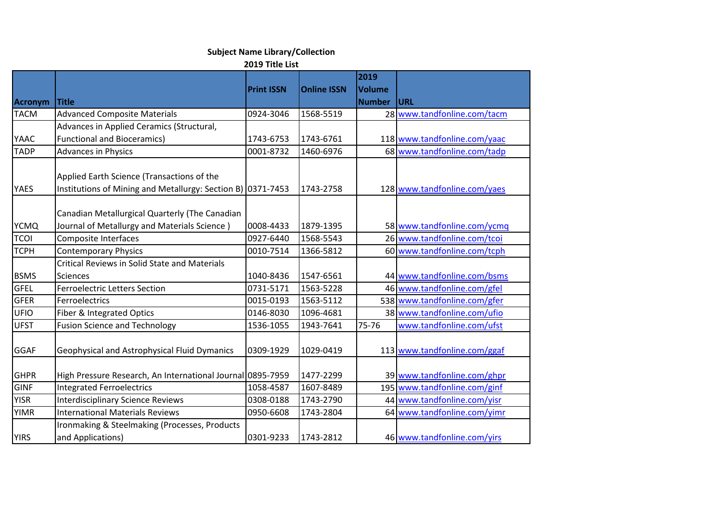## **Subject Name Library/Collection**

## **2019 Title List**

| <b>Acronym</b> | <b>Title</b>                                                                                              | <b>Print ISSN</b> | <b>Online ISSN</b> | 2019<br><b>Volume</b><br><b>Number</b> | URL                          |
|----------------|-----------------------------------------------------------------------------------------------------------|-------------------|--------------------|----------------------------------------|------------------------------|
| <b>TACM</b>    | <b>Advanced Composite Materials</b>                                                                       | 0924-3046         | 1568-5519          |                                        | 28 www.tandfonline.com/tacm  |
|                | Advances in Applied Ceramics (Structural,                                                                 |                   |                    |                                        |                              |
| <b>YAAC</b>    | <b>Functional and Bioceramics)</b>                                                                        | 1743-6753         | 1743-6761          |                                        | 118 www.tandfonline.com/yaac |
| <b>TADP</b>    | <b>Advances in Physics</b>                                                                                | 0001-8732         | 1460-6976          |                                        | 68 www.tandfonline.com/tadp  |
| <b>YAES</b>    | Applied Earth Science (Transactions of the<br>Institutions of Mining and Metallurgy: Section B) 0371-7453 |                   | 1743-2758          |                                        | 128 www.tandfonline.com/yaes |
| <b>YCMQ</b>    | Canadian Metallurgical Quarterly (The Canadian<br>Journal of Metallurgy and Materials Science)            | 0008-4433         | 1879-1395          |                                        | 58 www.tandfonline.com/ycmq  |
| <b>TCOI</b>    | Composite Interfaces                                                                                      | 0927-6440         | 1568-5543          |                                        | 26 www.tandfonline.com/tcoi  |
| <b>TCPH</b>    | <b>Contemporary Physics</b>                                                                               | 0010-7514         | 1366-5812          |                                        | 60 www.tandfonline.com/tcph  |
|                | Critical Reviews in Solid State and Materials                                                             |                   |                    |                                        |                              |
| <b>BSMS</b>    | <b>Sciences</b>                                                                                           | 1040-8436         | 1547-6561          |                                        | 44 www.tandfonline.com/bsms  |
| <b>GFEL</b>    | <b>Ferroelectric Letters Section</b>                                                                      | 0731-5171         | 1563-5228          |                                        | 46 www.tandfonline.com/gfel  |
| <b>GFER</b>    | Ferroelectrics                                                                                            | 0015-0193         | 1563-5112          |                                        | 538 www.tandfonline.com/gfer |
| <b>UFIO</b>    | Fiber & Integrated Optics                                                                                 | 0146-8030         | 1096-4681          |                                        | 38 www.tandfonline.com/ufio  |
| <b>UFST</b>    | <b>Fusion Science and Technology</b>                                                                      | 1536-1055         | 1943-7641          | 75-76                                  | www.tandfonline.com/ufst     |
| <b>GGAF</b>    | Geophysical and Astrophysical Fluid Dymanics                                                              | 0309-1929         | 1029-0419          |                                        | 113 www.tandfonline.com/ggaf |
| <b>GHPR</b>    | High Pressure Research, An International Journal 0895-7959                                                |                   | 1477-2299          |                                        | 39 www.tandfonline.com/ghpr  |
| <b>GINF</b>    | <b>Integrated Ferroelectrics</b>                                                                          | 1058-4587         | 1607-8489          |                                        | 195 www.tandfonline.com/ginf |
| <b>YISR</b>    | <b>Interdisciplinary Science Reviews</b>                                                                  | 0308-0188         | 1743-2790          |                                        | 44 www.tandfonline.com/yisr  |
| <b>YIMR</b>    | <b>International Materials Reviews</b>                                                                    | 0950-6608         | 1743-2804          |                                        | 64 www.tandfonline.com/yimr  |
| <b>YIRS</b>    | Ironmaking & Steelmaking (Processes, Products<br>and Applications)                                        | 0301-9233         | 1743-2812          |                                        | 46 www.tandfonline.com/yirs  |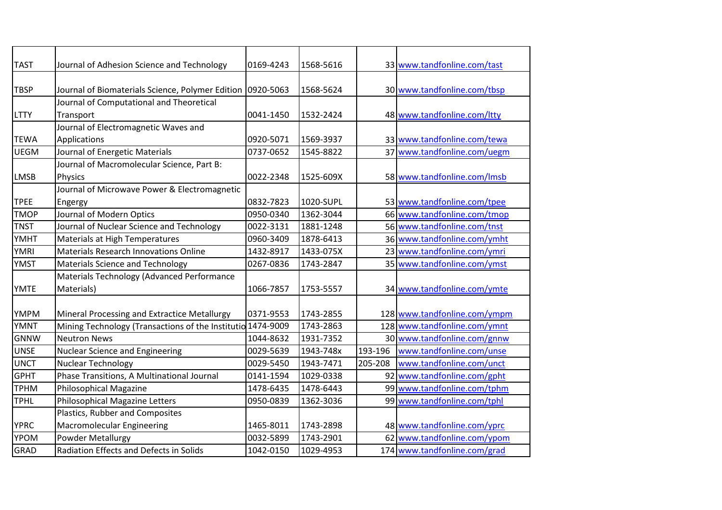| <b>TAST</b> | Journal of Adhesion Science and Technology                           | 0169-4243 | 1568-5616 |         | 33 www.tandfonline.com/tast  |
|-------------|----------------------------------------------------------------------|-----------|-----------|---------|------------------------------|
| <b>TBSP</b> | Journal of Biomaterials Science, Polymer Edition                     | 0920-5063 | 1568-5624 |         | 30 www.tandfonline.com/tbsp  |
| <b>LTTY</b> | Journal of Computational and Theoretical<br>Transport                | 0041-1450 | 1532-2424 |         | 48 www.tandfonline.com/ltty  |
| <b>TEWA</b> | Journal of Electromagnetic Waves and<br>Applications                 | 0920-5071 | 1569-3937 |         | 33 www.tandfonline.com/tewa  |
| <b>UEGM</b> | Journal of Energetic Materials                                       | 0737-0652 | 1545-8822 |         | 37 www.tandfonline.com/uegm  |
| <b>LMSB</b> | Journal of Macromolecular Science, Part B:<br><b>Physics</b>         | 0022-2348 | 1525-609X |         | 58 www.tandfonline.com/lmsb  |
| <b>TPEE</b> | Journal of Microwave Power & Electromagnetic<br>Engergy              | 0832-7823 | 1020-SUPL |         | 53 www.tandfonline.com/tpee  |
| <b>TMOP</b> | Journal of Modern Optics                                             | 0950-0340 | 1362-3044 |         | 66 www.tandfonline.com/tmop  |
| <b>TNST</b> | Journal of Nuclear Science and Technology                            | 0022-3131 | 1881-1248 |         | 56 www.tandfonline.com/tnst  |
| YMHT        | Materials at High Temperatures                                       | 0960-3409 | 1878-6413 |         | 36 www.tandfonline.com/ymht  |
| <b>YMRI</b> | <b>Materials Research Innovations Online</b>                         | 1432-8917 | 1433-075X |         | 23 www.tandfonline.com/ymri  |
| <b>YMST</b> | <b>Materials Science and Technology</b>                              | 0267-0836 | 1743-2847 |         | 35 www.tandfonline.com/ymst  |
| <b>YMTE</b> | Materials Technology (Advanced Performance<br>Materials)             | 1066-7857 | 1753-5557 |         | 34 www.tandfonline.com/ymte  |
| <b>YMPM</b> | Mineral Processing and Extractice Metallurgy                         | 0371-9553 | 1743-2855 |         | 128 www.tandfonline.com/ympm |
| <b>YMNT</b> | Mining Technology (Transactions of the Institutio 1474-9009          |           | 1743-2863 |         | 128 www.tandfonline.com/ymnt |
| <b>GNNW</b> | <b>Neutron News</b>                                                  | 1044-8632 | 1931-7352 |         | 30 www.tandfonline.com/gnnw  |
| <b>UNSE</b> | <b>Nuclear Science and Engineering</b>                               | 0029-5639 | 1943-748x | 193-196 | www.tandfonline.com/unse     |
| <b>UNCT</b> | Nuclear Technology                                                   | 0029-5450 | 1943-7471 | 205-208 | www.tandfonline.com/unct     |
| <b>GPHT</b> | Phase Transitions, A Multinational Journal                           | 0141-1594 | 1029-0338 | 92      | www.tandfonline.com/gpht     |
| <b>TPHM</b> | <b>Philosophical Magazine</b>                                        | 1478-6435 | 1478-6443 |         | 99 www.tandfonline.com/tphm  |
| <b>TPHL</b> | Philosophical Magazine Letters                                       | 0950-0839 | 1362-3036 |         | 99 www.tandfonline.com/tphl  |
| <b>YPRC</b> | Plastics, Rubber and Composites<br><b>Macromolecular Engineering</b> | 1465-8011 | 1743-2898 |         | 48 www.tandfonline.com/yprc  |
| YPOM        | Powder Metallurgy                                                    | 0032-5899 | 1743-2901 |         | 62 www.tandfonline.com/ypom  |
| GRAD        | Radiation Effects and Defects in Solids                              | 1042-0150 | 1029-4953 |         | 174 www.tandfonline.com/grad |
|             |                                                                      |           |           |         |                              |